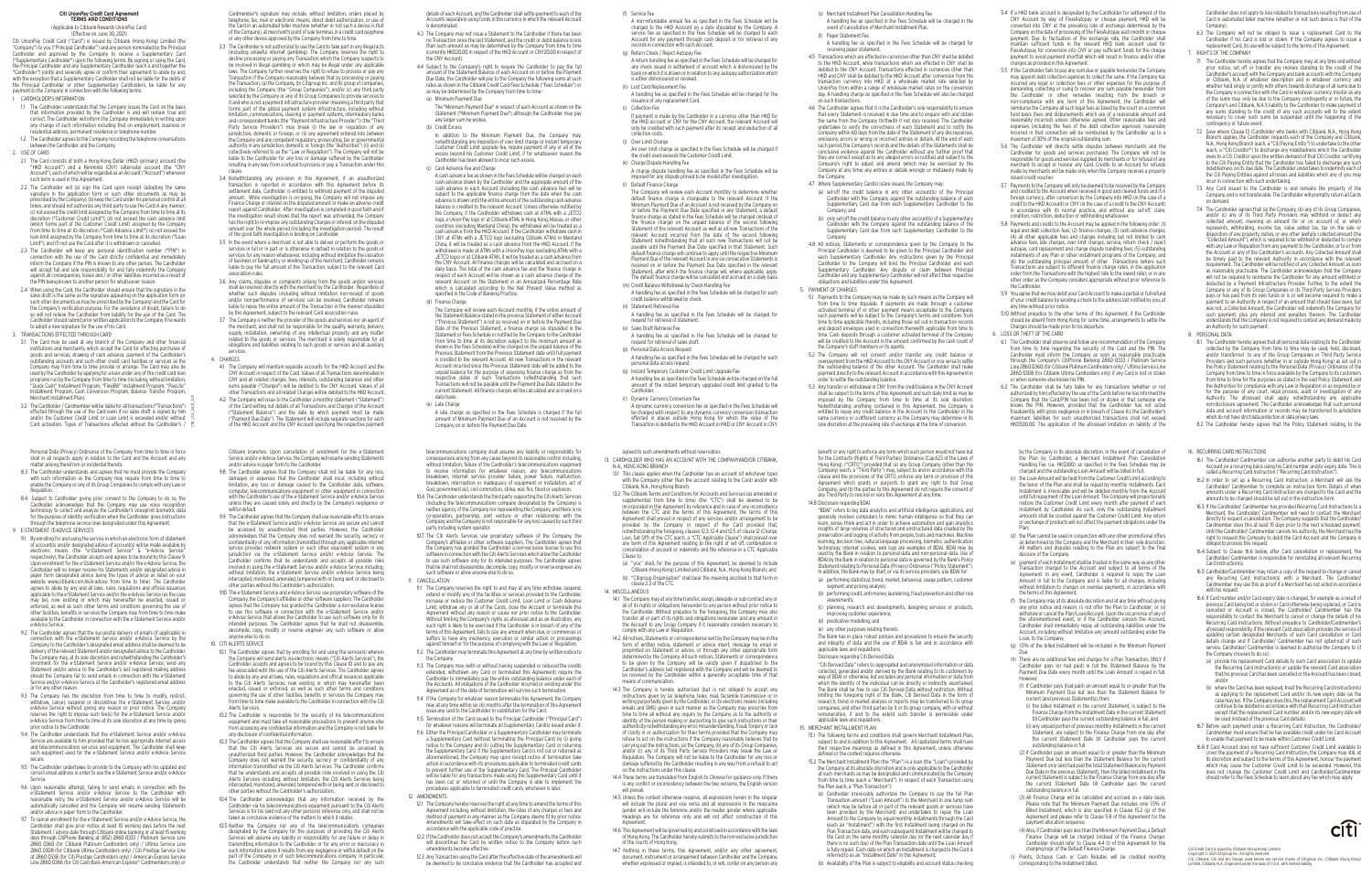(s) Merchant Installment Plan Cancellation Handling Fee

 A handling fee as specified in the Fees Schedule will be charged in the event of cancellation of Merchant Installment Plan.

 (t) Paper Statement Fee A handling fee as specified in the Fees Schedule will be charged for receiving paper statement.

 4.5 Transactions which are effected in currencies other than CNY shall be debited to the HKD Account, while transactions which are effected in CNY shall be debited to the CNY Account. Transactions effected in currencies other than HKD and CNY shall be debited to the HKD Account after conversion from the transaction currency into HKD at a wholesale market rate selected by UnionPay from within a range of wholesale market rates on the conversion day. A handling charge as specified in the Fees Schedule will also be charged on such transactions.

 4.6 The Cardholder agrees that it is the Cardholder's sole responsibility to ensure that every Statement is received in due time and to enquire with and obtain the same from the Company forthwith if not duly received. The Cardholder undertakes to verify the correctness of each Statement and to notify the Company within 60 days from the date of the Statement of any discrepancies, omissions, errors or wrong or incorrect entries or details. At the end of each such period, the Company's records and the details of the Statements shall b conclusive evidence against the Cardholder without any further proof that they are correct except as to any alleged errors so notified and subject to the Company's right to adjust and amend (which may be exercised by the Company at any time) any entries or details wrongly or mistakenly made by the Company.

47 Where Supplementary Card(s) is/are issued, the Company may:

(Annlicable to Citibank Rewards UnionPay Card) (Effective on June 30, 2021)

- 1.1 The Cardholder understands that the Company issues the Card on the basis that information provided by the Cardholder is and will remain true and correct. The Cardholder will inform the Company immediately in writing upon any change of such information including that on employment, business or residential address, permanent residence or telephone number.
- 1.2 The Cardholder agrees to the Company recording the telephone conversations between the Cardholder and the Company.

- (a) set-off the credit balance in any other account(s) of the Principal Cardholder with the Company against the outstanding balance of each Supplementary Card due from each Supplementary Cardholder to the Company; and
- (b) only set-off the credit balance in any other account(s) of a Supplementary Cardholder with the Company against the outstanding balance of the Supplementary Card due from such Supplementary Cardholder to the Company.
- 4.8 All notices, Statements or correspondence given by the Company to the Principal Cardholder is deemed to be given to the Principal Cardholder and each Supplementary Cardholder. Any instructions given by the Principal Cardholder to the Company will bind the Principal Cardholder and each Supplementary Cardholder. Any dispute or claim between Principal Cardholder and any Supplementary Cardholder will not affect their respective obligations and liabilities under this Agreement.
- 5. PAYMENT OF CHARGES
- 5.1 Payments to the Company may be made by such means as the Company will from time to time stipulate. If payments are made through a customer activated terminal of or other payment means acceptable to the Company, such payments will be subject to the Company's terms and conditions from time to time applicable thereto, including those set out in transaction records and deposit envelopes used in connection therewith applicable from time to time. Cash deposits through a customer activated terminal of the Company will be credited to the Account in the amount confirmed by the cash count of the Company's staff members or its agents.
- 5.2 The Company will not convert and/or transfer any credit balance or overpayment from the HKD Account to the CNY Account or vice versa to settle the outstanding balance of the other Account. The Cardholder shall make payment directly to the relevant Account in accordance with this Agreement in order to settle the outstanding balance.
- 5.3 Any transfer or withdrawal in CNY from the credit balance in the CNY Account shall be subject to the terms of this Agreement and such daily limit as may be imposed by the Company from time to time at its sole discretion. Notwithstanding anything contained in this Agreement, the Company entitled to repay any credit balance in the Account to the Cardholder in the same currency or a different currency as the Company may determine in its sole discretion at the prevailing rate of exchange at the time of conversion.

## **Citi UnionPay Credit Card Agreement TERMS AND CONDITIONS**

Citi UnionPay Credit Card ("Card") is issued by Citibank (Hong Kong) Limited (the "Company") to you ("Principal Cardholder") and any person nominated by the Principal Cardholder and approved by the Company to receive a Supplementary Card ("Supplementary Cardholder") upon the following terms. By signing or using the Card, the Principal Cardholder and any Supplementary Cardholder (each a and together the "Cardholder") jointly and severally agree or confirm their agreement to abide by and with the exception that a Supplementary Cardholder shall not be liable for the debts of the Principal Cardholder or other Supplementary Cardholders, be liable for any payment to the Company in connection with the following terms:

1. CARDHOLDER'S INFORMATION

2. USE OF CARD

- 2.1 The Card consists of both a Hong Kong Dollar (HKD) (primary) account (the "HKD Account") and a Renminbi (CNY) (alternate) account (the "CNY Account"), each of which will be regarded as an Account ("Account") whenever such term is used in this Agreement.
- 2.2 The Cardholder will (a) sign the Card upon receipt (adopting the same signature in the application form or such other documents as may be prescribed by the Company); (b) keep the Card under his personal control at all times, and should not authorize any third party to use the Card in any manner; (c) not exceed the credit limit assigned by the Company from time to time at it discretion ("Customer Credit Limit"); (d) not exceed the cash advance lim (which forms part of the Customer Credit Limit) assigned by the Compar from time to time at its discretion ("Cash Advance Limit"); (e) not exceed the loan limit assigned by the Company from time to time at its discretion ("Loan Limit"); and (f) not use the Card after it is withdrawn or cancelled.
- 2.3 The Cardholder will keep any personal identification number ("PIN") in connection with the use of the Card strictly confidential and immediately inform the Company if the PIN is known to any other person. The Cardholder will accept full and sole responsibility for and fully indemnify the Company against all consequences, losses and / or other liabilities incurred as a result of the PIN being known to another person for whatsoever reason.
- 2.4 When using the Card, the Cardholder should ensure that the signature in the sales draft is the same as the signature appearing on the application form (or such other documents as may be prescribed by the Company) and the Card for the Company's verification purpose. For the avoidance of doubt, failure to do so will not relieve the Cardholder from liability for the use of the Card. The Cardholder should submit prior written application to the Company if he wants to adopt a new signature for the use of his Card.
- 4.3 The Company may not issue a Statement to the Cardholder if there has been no Transaction since the last Statement, and the credit or debit balance is less than such amount as may be determined by the Company from time to time (currently HKD20.00 in respect of the HKD Account or CNY20.00 in respect of the CNY Account).
- 4.4 Subject to the Company's right to require the Cardholder to pay the full amount of the Statement Balance of each Account on or before the Payment Due Date, the Cardholder will pay to the Company the following sums at such rates as shown in the Citibank Credit Card Fees Schedule ("Fees Schedule") or as may be determined by the Company from time to time:-(a) Minimum Payment Due

3. TRANSACTIONS EFFECTED THROUGH CARD

Cardmember's signature may include, without limitation, orders placed by telephone, fax, mail or electronic means, direct debit authorization, or use of the Card in an automated teller machine (whether or not such a device is that of the Company), at merchant's point of sale terminal, in a credit card payphone or any other device approved by the Company from time to time.

- 3.3 The Cardholder is not authorized to use the Card to take part in any illegal acts ncluding unlawful internet gambling). The Company reserves the right to decline processing or paying any Transaction which the Company suspects to be involved in illegal gambling or which may be illegal under any applicable laws. The Company further reserves the right to refuse to process or pay any Transaction if the Company reasonably believes that by processing or paying the Transaction, (a) the Company, (b) Citigroup Inc. and its group of companies, including the Company (the "Group Companies"), and/or (c) any third party selected by the Company or any of its Group Companies to provide services to it and who is not a payment infrastructure provider (meaning a third party that forms part of the global payment system infrastructure, including without limitation, communications, clearing or payment systems, intermediary banks and correspondent banks (the "Payment Infrastructure Provider")) (the "Third Party Service Providers") may break (i) the law or regulation of any jurisdiction, domestic or foreign, or (ii) any agreement entered into between the Company and any competent regulatory, prosecuting, tax or governmental authority in any jurisdiction, domestic or foreign (the "Authorities") ((i) and (ii) collectively referred to as the "Law or Regulation"). The Company will not be liable to the Cardholder for any loss or damage suffered by the Cardholde resulting in any way from a refusal to process or pay a Transaction under this clause.
- 3.4 Notwithstanding any provision in this Agreement, if an unauthorized transaction is reported in accordance with this Agreement before its settlement date, Cardholder is entitled to withhold payment of the disputed amount. While investigation is on-going, the Company will not impose any Finance Charge or interest on the disputed amount or make an adverse creditionally report against Cardholder. After investigation is completed in good faith and if the investigation result shows that the report was unfounded, the Company has the right to re-impose any outstanding Charges or interest on the disputed amount over the whole period (including the investigation period). The result of the good faith investigation is binding on Cardholder.
- 3.5 In the event where a merchant is not able to deliver or perform the goods or services in full or in part or is otherwise in default in relation to the goods or services for any reason whatsoever, including without limitation the cessation of business or bankruptcy or winding-up of the merchant, Cardholder remains liable to pay the full amount of the Transaction, subject to the relevant Card association rules.
- 3.6 Any claims, disputes or complaints arising from the goods and/or services shall be resolved directly with the merchant by the Cardholder. Regardless of whether such disputes (including without limitation non-receipt of goods and/or non-performance of services) can be resolved. Cardholder remain liable to repay the entire amount of the Transaction in the manner stipulated by this Agreement, subject to the relevant Card association rules.
- 3.7 The Company is neither the provider of the goods and services nor an agent of the merchant, and shall not be responsible for the quality, warranty, delivery, supply, installation, ownership of any intellectual property and any matter related to the goods or services. The merchant is solely responsible for all obligations and liabilities relating to such goods or services and all auxiliary services.
- 4. CHARGES
- 4.1 The Company will maintain separate accounts for the HKD Account and the CNY Account in respect of the Card. Values of all Transactions denominated in CNY and all related charges, fees, interests, outstanding balances and other sums payable ("Charges") will be debited to the CNY Account. Values of all other Transactions and all related Charges will be debited to the HKD Account.
- 4.2 The Company will issue to the Cardholder a monthly statement ("Statement") of the Card setting out details of all Transactions and Charges of the Account ("Statement Balance") and the date by which payment must be made ("Payment Due Date"). The Statement will include separate sections for each of the HKD Account and the CNY Account specifying the respective payment

Cardholder does not apply to loss related to transactions resulting from use of Card in automated teller machine (whether or not such device is that of the Company)

details of each Account, and the Cardholder shall settle payment to each of the Accounts separately using funds in the currency in which the relevant Account is denominated.

 The "Minimum Payment Due" in respect of each Account as shown on the Statement ("Minimum Payment Due") although the Cardholder may pay any larger sum he wishes.

(b) Credit Excess

 In addition to the Minimum Payment Due, the Company may, notwithstanding any imposition of over limit charge or instant temporary Customer Credit Limit upgrade fee, require payment of any or all of the excess beyond his Customer Credit Limit, if for whatsoever reason the Cardholder has been allowed to incur such excess.

(c) Cash Advance Fee and Charge

 A cash advance fee as shown in the Fees Schedule will be charged on each cash advance drawn by the Cardholder and the aggregate amount of the cash advance in each Account (including the cash advance fee) will be subject to the applicable finance charge from the date when the cash advance is drawn until the entire amount of the outstanding cash advance balance is credited to the relevant Account. Unless otherwise notified b the Company, if the Cardholder withdraws cash at ATMs with a JETCO logo, a Union-Pay logo or at Citibank ATMs in Hong Kong, Macau, or other countries (excluding Mainland China), the withdrawal will be treated as a cash advance from the HKD Account. If the Cardholder withdraws cash in CNY at ATMs with a JETCO logo (excluding Citibank ATMs) in Mainland China, it will be treated as a cash advance from the HKD Account. If the withdrawal is made at ATMs with a UnionPay logo (excluding ATMs with a JETCO logo) or at Citibank ATMs, it will be treated as a cash advance from the CNY Account. All finance charges will be calculated and accrued on a daily basis. The total of the cash advance fee and the finance charge in respect of each Account will be shown as a cash advance charge of the relevant Account on the Statement in an Annualized Percentage Rate which is calculated according to the Net Present Value method as specified in the Code of Banking Practice.

(d) Finance Charge

 The Company will review each Account monthly, if the entire amount of the Statement Balance stated in the previous Statement of either Account ("Previous Statement") is not so received on or before the Payment Du Date of the Previous Statement, a finance charge (as stipulated in the Statement or Fees Schedule or notified by the Company to the Cardholder from time to time at its discretion subject to the minimum amount as shown in the Fees Schedule) will be charged on the unpaid balance of the Previous Statement from the Previous Statement date until full payment is credited to the relevant Account. All new Transactions in the relevant Account incurred since the Previous Statement date will be added to the unpaid balance for the purpose of assessing finance charge as from the respective dates of such Transactions notwithstanding that such Transactions will not be payable until the Payment Due Date stated in the current Statement. All finance charges will be calculated and accrued on a daily basis.

(e) Late Charge

- 9.1 By enrolling for and using the service in which an electronic form of statemer of account(s) and/or designated advice of account(s) will be made available by electronic means (the "e-Statement Service" & "e-Advice Service" respectively), the Cardholder accepts and agrees to be bound by this Clause 9. Upon enrollment for the e-Statement Service and/or the e-Advice Service, the Cardholder will no longer receive his Statements and/or designated advice in paper form (designated advice being the types of advice as listed on your website www.citibank.com.hk/e-advice from time to time). The Cardholder agrees to abide by any and all laws, rules, regulations and official issuances applicable to the e-Statement Service and/or the e-Advice Service (as the case  $m$ ay be), now existing or which may hereinafter be enacted, issued enforced, as well as such other terms and conditions governing the use of other facilities, benefits or services the Company may from time to time make available to the Cardholder in connection with the e-Statement Service and/or e-Advice Service.
- 9.2 The Cardholder agrees that the successful delivery of emails (if applicable) in connection with the e-Statement Service and/or e-Advice Service by the Company to the Cardholder's designated email address shall be deemed to be delivery of the relevant Statement and/or designated advice to the Cardholder. The Company may, at its sole discretion and notwithstanding the Cardholder's enrolment for the e-Statement Service and/or e-Advice Service, send any Statement and/or advice to the Cardholder's last registered mailing address should the Company fail to send emails in connection with the e-Statement Service and/or e-Advice Service at the Cardholder's registered email address or for any other reason.
- 9.3 The Company has the discretion from time to time to modify, restrict, withdraw, cancel, suspend or discontinue the e-Statement Service and/o e-Advice Service without giving any reason or prior notice. The Company reserves the right to impose such fee(s) for the e-Statement Service and/or e-Advice Service from time to time at its sole discretion at any time by giving prior notice to the Cardholder.
- 9.4 The Cardholder understands that the e-Statement Service and/or e-Advice Service are available to him provided that he has appropriate internet access and telecommunications services and equipment. The Cardholder shall keep such equipment used for the e-Statement Service and/or e-Advice Service secure.
- 9.5 The Cardholder undertakes to provide to the Company with his updated and correct email address in order to use the e-Statement Service and/or e-Advice Service.
- 9.6 Upon reasonable attempt, failing to send emails in connection with the e-Statement Service and/or e-Advice Service to the Cardholder with reasonable retry, the e-Statement Service and/or e-Advice Service will be automatically cancelled and the Company will resume sending Statements and/or advice in paper form to the Cardholder.
- 9.7 To cancel enrollment for the e-Statement Service and/or e-Advice Service, the Cardholder shall give prior notice at least 10 working days before the next Statement / advice date through Citibank online banking or at least 15 working days through CitiPhone Banking at (852) 2860 0333 / Platinum Service Line 2860 0360 (for Citibank Platinum Cardholders only) / Ultima Service Line 2860 0308 (for Citibank Ultima Cardholders only) / Citi Prestige Service Line at 2860 0338 (for Citi Prestige Cardholders only) / American Express Service Line 2860 0366 (for Citi Cash Back American Express® Cardmembers only) or

 A late charge as specified in the Fees Schedule is charged if the full amount of Minimum Payment Due of an Account is not received by the Company on or before the Payment Due Date.

 A non-refundable annual fee as specified in the Fees Schedule will be charged to the HKD Account on a date stipulated by the Company. A service fee as specified in the Fees Schedule will be charged to each Account for any payment through cash deposit or for retrieval of any records in connection with such Account.

 A return handling fee as specified in the Fees Schedule will be charged for any check issued in settlement of account which is dishonoured by the bank on which it is drawn or in relation to any autopay authorization which is either dishonoured or revoked.

 A handling fee as specified in the Fees Schedule will be charged for the issuance of any replacement Card.

 If payment is made by the Cardholder in a currency other than HKD for the HKD account or CNY for the CNY Account, the relevant Account will only be credited with such payment after its receipt and deduction of all

 An over limit charge as specified in the Fees Schedule will be charged if the credit used exceeds the Customer Credit Limit.

 A charge dispute handling fee as specified in the Fees Schedule will be imposed for any dispute proved to be invalid after investigation.

 The Company will review each Account monthly to determine whether default finance charge is chargeable to the relevant Account. If the Minimum Payment Due of an Account is not received by the Company on or before the Payment Due Date specified in any Statement, a default finance charge as stated in the Fees Schedule will be charged (instead of the finance charge) on the unpaid balance of the second following Statement of the relevant Account as well as all new Transactions of the relevant Account incurred from the date of the second following Statement notwithstanding that all such new Transactions will not be payable until the Payment Due Date specified in that Statement. Sucl default finance charge will continue to apply until the respective Minimum Payment Due of the relevant Account in any six consecutive Statements is received on or before the Payment Due Date specified in the relevant Statement, after which the finance charge will, where applicable, apply The default finance charge will be calculated and accrued on a daily basis.

 A handling fee as specified in the Fees Schedule will be charged for each credit balance withdrawal by check.

 A handling fee as specified in the Fees Schedule will be charged for request for retrieval of statement.

 A handling fee as specified in the Fees Schedule will be charged for request for retrieval of sales draft.

A handling fee as specified in the Fees Schedule will be charged for each

(q) Instant Temporary Customer Credit Limit Upgrade Fee

 A handling fee as specified in the Fees Schedule will be charged on the full amount of the instant temporary upgraded credit limit granted to the

 A dynamic currency conversion fee as specified in the Fees Schedule will be charged with respect to any dynamic currency conversion transaction effected in places outside Hong Kong for which the value of the Transaction is debited to the HKD Account in HKD or CNY Account in CNY.

- 9.8 The Cardholder agrees that the Company shall not be liable for any loss, damages or expenses that the Cardholder shall incur, including without limitation, any loss or damage caused to the Cardholder data, software, computer, telecommunications equipment or other equipment in connection with the Cardholder's use of the e-Statement Service and/or e-Advice Service unless they are caused solely and directly by the Company's negligence or willful default.
- 9.9 The Cardholder agrees that the Company shall use reasonable effort to ensure that the e-Statement Service and/or e-Advice Service are secure and cannot be accessed by unauthorized third parties. However, the Cardholde acknowledges that the Company does not warrant the security, secrecy or confidentiality of any information transmitted through any applicable internet service provider, network system or such other equivalent system in any jurisdiction via the e-Statement Service and/or e-Advice Service. The Cardholder confirms that he understands and accepts all possible risks involved in using the e-Statement Service and/or e-Advice Service including, without limitation, the e-Statement Service and/or e-Advice Service being intercepted, monitored, amended, tempered with or being sent or disclosed to other parties without the Cardholder's authorization.
- 9.10 The e-Statement Service and e-Advice Service use proprietary software of the Company, the Company's affiliates or other software suppliers. The Cardholder agrees that the Company has granted the Cardholder a non-exclusive license to use this software in connection with the e-Statement Service and/or e-Advice Service that allows the Cardholder to use such software only for it: intended purposes. The Cardholder agrees that he shall not disassemble decompile, copy, modify or reverse engineer any such software or allow anyone else to do so.
- 10. CITI ALERTS SERVICE
- 10.1 The Cardholder agrees that by enrolling for and using the service(s) wherein the Company will send alerts via electronic means ("Citi Alerts Services"), the Clause 10 and to pay any fee associated with the use of the Citi Alerts Services. The Cardholder agrees to abide by any and all laws, rules, regulations and official issuances applicable to the Citi Alerts Services, now existing or which may hereinafter been enacted, issued or enforced, as well as such other terms and conditions governing the use of other facilities, benefits or services the Company may from time to time make available to the Cardholder in connection with the Citi Alerts Services.
- 10.2 The Cardholder is responsible for the security of his telecommunications equipment and must take all reasonable precautions to prevent anyone else from accessing any confidential information and the Company is not liable for any disclosure of confidential information.
- 10.3 The Cardholder agrees that the Company shall use reasonable effort to ensure that the Citi Alerts Services are secure and cannot be accessed by unauthorized third parties. However, the Cardholder acknowledges that the Company does not warrant the security, secrecy or confidentiality of any information transmitted via the Citi Alerts Services. The Cardholder confirms that he understands and accepts all possible risks involved in using the Citi Alerts Services including, without limitation, the Citi Alerts Services being intercepted, monitored, amended, tempered with or being sent or disclosed to other parties without the Cardholder's authorization.
- 10.4 The Cardholder acknowledges that any information received by the Cardholder via his telecommunications equipment pursuant to the Citi Alerts Services is for his (and not any other persons) reference only, and shall not be taken as conclusive evidence of the matters to which it relates.
- 10.5 Neither the Company nor any of the telecommunications companies designated by the Company for the purposes of providing the Citi Alerts Services will assume any liability or responsibility for any failure or delay in transmitting information to the Cardholder or for any error or inaccuracy in such information unless it results from any negligence or willful default on the part of the Company or of such telecommunications company. In particular, the Cardholder understands that neither the Company nor any such

 13.1 This clause applies when the Cardholder has an account (of whichever type) with the Company (other than the account relating to the Card) and/or with

- 5.4 If a HKD bank account is designated by the Cardholder for settlement of the CNY Account by way of FlexiAutopay or cheque payment, HKD will be converted into CNY at the prevailing rate of exchange determined by the Company on the date of processing of the FlexiAutopay each month or cheque payment. Due to fluctuation of the exchange rate, the Cardholder shall maintain sufficient funds in the relevant HKD bank account used for FlexiAutopay for conversion into CNY or pay sufficient funds for the cheque payment to avoid payment shortfall which will result in finance and/or other charges as provided in this Agreement.
- 5.5 If the Cardholder fails to pay any sum due or payable hereunder, the Company may appoint debt collection agencies to collect the same. If the Company ha incurred any legal or collection fees or other expenses for the purpose of demanding, collecting or suing to recover any sum payable hereunder from the Cardholder or other remedies resulting from the breach or non-compliance with any term of this Agreement, the Cardholder will reimburse the Company all such legal fees as taxed by the court on a common fund basis (fees and disbursements which are of a reasonable amount and reasonably incurred) unless otherwise agreed. Other reasonable fees and expenses (including the fees of the debt collection agencies) reasonably incurred in that connection will be reimbursed by the Cardholder up to a maximum of 30% of the original outstanding sum.
- 5.6 The Cardholder will directly settle disputes between merchants and the Cardholder for goods and services purchased. The Company will not be responsible for goods and services supplied by merchants or for refusal of any merchant to accept or honour any Card. Credits to an Account for refunds made by merchants will be made only when the Company receives a properly issued credit voucher.
- 5.7 Payments to the Company will only be deemed to be received by the Company and credited to the Account when received in good and cleared funds and if in foreign currency, after conversion by the Company into HKD (in the case of a credit to the HKD Account) or CNY (in the case of a credit to the CNY Account) in accordance with its normal practice, and without any set-off, claim, condition, restriction, deduction or withholding whatsoever.
- 5.8 Payments and credits to the Account may be applied in the following order: (1) legal and debt collection fees; (2) finance charges; (3) cash advance charges; (4) all other applicable fees and charges including but not limited to cash advance fees, late charges, over limit charges, service, return check / reject autopay, card replacement and charge dispute handling fees; (5) outstanding installments of any Plan or other installment programs of the Company; and (6) the outstanding principal amount of other Transactions (where such Transactions are subject to different finance charge rates, in the application order from the Transactions with the highest rate to the lowest rate); or in any other order as the Company considers appropriate without prior reference to the Cardholder.
- 5.9 You agree that we may debit your Card Account to make a partial or full refund of your credit balance by sending a check to the address last notified by you, at any time without prior notice.
- 5.10 Without prejudice to the other terms of this Agreement, if the Cardholder should be absent from Hong Kong for some time, arrangements to settle the Charges should be made prior to his departure.

 "BDAI" refers to big data analytics and artificial intelligence applications, and generally involves computers to mimic human intelligence so that they can learn, sense, think and act in order to achieve automation and gain analytic insights of large volumes of structured and unstructured data created by the preservation and logging of activity from people, tools and machines. Machine learning, decision tree, natural language processing, biometric authentication technology, internet cookies, web logs are examples of BDAI. BDAI may b used by the Bank in relation to personal data and non-personal data. Use of BDAI by the Bank in relation to personal data is governed by the Bank's Policy Statement relating to Personal Data (Privacy) Ordinance ("Policy Statement"). In addition, the Bank may by itself, or via its service providers, use BDAI for:

6. LOSS OR THEFT OF THE CARD

- 6.1 The Cardholder shall observe and follow any recommendation of the Company from time to time regarding the security of the Card and the PIN. The Cardholder must inform the Company as soon as reasonably practicable through the Company's CitiPhone Banking 2860 0333 / Platinum Service Line 2860 0360 (for Citibank Platinum Cardholders only) / Ultima Service Line 2860 0308 (for Citibank Ultima Cardholders only) if any Card is lost or stolen or when someone else knows his PIN.
- 6.2 The Cardholder shall be fully liable for any transactions (whether or not authorized by him) effected by the use of the Cards before he has informed the Company that the Card/PIN has been lost or stolen or that someone else knows the PIN. However, provided that the Cardholder has not acted fraudulently, with gross negligence or in breach of Clause 6.1, the Cardholder's maximum liabilities for such unauthorized transactions shall not exceed HKD500.00. The application of the aforesaid limitation on liability of the
- 3.1 The Card may be used at any branch of the Company and other financial institutions and merchants, which accept the Card for effecting purchases of goods and services, drawing of cash advance, payment of the Cardholder's outstanding accounts and such other credit card facilities or services as the Company may from time to time provide or arrange. The Card may also be used by the Cardholder by applying for a loan under any of the credit card loan programs run by the Company from time to time (including, without limitation, "Quick Cash" Installment Program, "FlexiBill" Installment Program, "PayLite" Installment Program, Cash Conversion Program, Balance Transfer Program, Merchant Installment Plan).
- 3.2 The Cardholder / Cardmember will be liable for all transactions ("Transactions") effected through the use of the Card even if no sales draft is signed by him and/or the Customer Credit Limit or Loan Limit is exceeded and/or without Card activation. Types of Transactions effected without the Cardholder's / CTB\_CCA\_0421\_CUP
- 6.3 The Company will not be obliged to issue a replacement Card to the Cardholder if his Card is lost or stolen. If the Company agrees to issue a replacement Card, its use will be subject to the terms of this Agreement. 7. RIGHTS OF THE COMPANY
- 7.1 The Cardholder hereby agrees that the Company may, at any time and without prior notice, set off or transfer any monies standing to the credit of the Cardholder's account with the Company and bank accounts with the Company or Citibank, N.A. of whatever description and in whatever currency and whether held singly or jointly with others towards discharge of all sums due to the Company in connection with the Card in whatever currency. Insofar as any of the sums may only be due to the Company contingently or in future, the Company's and Citibank, N.A.'s liability to the Cardholder to make payment of any sums standing to the credit of any such accounts will to the extent necessary to cover such sums be suspended until the happening of the contingency or future event.
- 7.2 Save where Clause 13 (Cardholder who banks with Citibank, N.A., Hong Kong Branch) applies, the Cardholder requests each of the Company and Citibank, N.A., Hong Kong Branch (each, a "Citi Paying Entity") to undertake to the other (each, a "Citi Creditor") to discharge any indebtedness which the Cardholder owes to a Citi Creditor upon the written demand of that Citi Creditor certifying to the Citi Paying Entity that the Cardholder has failed to discharge any such indebtedness on its due date. The Cardholder undertakes to indemnify each of the Citi Paying Entities against all losses and liabilities which any of you may incur in connection with such undertaking.
- 7.3 Any Card issued to the Cardholder is and remains the property of the Company, and is not transferable. The Cardholder will promptly return all Cards on demand.
- 7.4 The Cardholder agrees that (a) the Company, (b) any of its Group Companies, and/or (c) any of its Third Party Providers may withhold or deduct any collected amount, meaning an amount for or on account of, or which represents, withholding, income tax, value added tax, tax on the sale or osition of any property, duties, or any other lawfully collected amount (the "Collected Amount"), which is required to be withheld or deducted to compl with any Law or Regulation from any payment to the Cardholder, or to or from the Account or any of the Cardholder's accounts. Any Collected Amount shall be timely paid to the relevant Authority in accordance with the relevant requirement. The Cardholder will be notified of any Collected Amount as soon as reasonably practicable. The Cardholder acknowledges that the Company will not be required to reimburse the Cardholder for any amount withheld or deducted by a Payment Infrastructure Provider. Further, to the extent the Company or any of its Group Companies or its Third Party Service Providers pays or has paid from its own funds or is or will become required to make a payment to an Authority in respect of an amount that should have been, but was not, a Collected Amount, the Cardholder will indemnify the Company for such payment, plus any interest and penalties thereon. The Cardholder understands that the Company is not required to contest any demand made by an Authority for such payment.
- 8. PERSONAL DATA
- 8.1 The Cardholder hereby agrees that all personal data relating to the Cardholder collected by the Company from time to time may be used, held, disclosed and/or transferred to any of the Group Companies or Third Party Service Providers and such persons (whether in or outside Hong Kong) as set out in the Policy Statement relating to the Personal Data (Privacy) Ordinance of the Company from time to time in force available by the Company to its customers from time to time for the purposes as stated in the said Policy Statement and the Authorities for compliance with any Law or Regulation or as required by or for the purpose of any court, legal process, audit or investigation of any Authority. The aforesaid shall apply notwithstanding any applicable non-disclosure agreement. The Cardholder acknowledges that such personal data and account information or records may be transferred to jurisdictions which do not have strict data protection or data privacy laws.
- (f) Service Fee
- (g) Return Check / Reject Autopay Fee
- (h) Lost Card Replacement Fee
- (i) Collection Fee collection costs.
- (j) Over Limit Charge (k) Charge Dispute Handling Fee
	- (l) Default Finance Charge
	- (m) Credit Balance Withdrawal by Check Handling Fee
	- (n) Statement Retrieval Fee
	- (o) Sales Draft Retrieval Fee
- (p) Personal Data Access Request personal data access request.
- Cardholder. (r) Dynamic Currency Conversion Fee
- 
- N.A., HONG KONG BRANCH Citibank, N.A., Hong Kong Branch.
- Clause to:
- 
- clause 2.3 of the CTC. 14. MISCELLANEOUS
- comply with any Law or Regulation.
- means of communication.
- 
- will prevail.
- Agreement.
- amendments become effective.
	-

8.2 The Cardholder hereby agrees that the Policy Statement relating to the

Personal Data (Privacy) Ordinance of the Company from time to time in force shall in all respects apply in relation to the Card and the Account and any matter arising therefrom or incidental thereto.

- 8.3 The Cardholder understands and agrees that he must provide the Company with such information as the Company may require from time to time to enable the Company or any of its Group Companies to comply with any Law or Regulation.
- 8.4 Subject to Cardholder giving prior consent to the Company to do so, the Cardholder acknowledges that the Company may use voice recognition technology to collect and analyze the Cardholder's voiceprint biometric data for the purpose of identity verification when the Cardholder gives instructions through the telephone service lines designated under this Agreement.

9. E-STATEMENT /E-ADVICE SERVICES

telecommunications company shall assume any liability or responsibility for consequences arising from any cause beyond its reasonable control including, without limitation, failure of the Cardholder's telecommunications equipment to receive information for whatever reason, any telecommunications breakdown, Internet service provider failure, power failure, malfunction, breakdown, interruption or inadequacy of equipment or installation, act of God, government act, civil commotion, strike, war, fire, flood or explosion.

- 10.6 The Cardholder understands the third party supporting the Citi Alerts Services (including the telecommunications company designated by the Company) is neither agency of the Company nor representing the Company, and there is no co-operation, partnership, joint venture or other relationship with the Company and the Company is not responsible for any loss caused by such third party including system operator.
- 10.7 The Citi Alerts Services use proprietary software of the Company, the Company's affiliates or other software suppliers. The Cardholder agrees that the Company has granted the Cardholder a non-exclusive license to use this software in connection with the Citi Alerts Services which allow the Cardholder o use such software only for its intended purposes. The Cardholder agrees that he shall not disassemble, decompile, copy, modify or reverse engineer any such software or allow anyone else to do so.
- 11. CANCELLATION
- 11.1 The Company reserves the right to and may at any time withdraw, suspend, extend or modify any of the facilities or services provided to the Cardholder increase or reduce the Customer Credit Limit, Loan Limit or Cash Advance Limit, withdraw any or all of the Cards, close the Account or terminate this Agreement without any reason or cause nor prior notice to the Cardholder. Without limiting the Company's rights as aforesaid and as an illustration, any such right is likely to be exercised if the Cardholder is in breach of any of the terms of this Agreement, fails to pay any amount when due, or commences or suffers to have any insolvency, execution or similar action or proceedings against himself or for the purpose of complying with the Law or Regulation. 11.2 The Cardholder may terminate this Agreement at any time by written notice to
- the Company. 11.3 The Company may (with or without having suspended or reduced the credits extended, withdrawn any Card or terminated this Agreement) require the Cardholder to immediately pay the entire outstanding balance under each of the Accounts. All obligations of the Cardholder incurred or existing under this Agreement as of the date of termination will survive such termination.
- 11.4 If the Company for whatever reason terminates this Agreement, the Company may at any time within six (6) months after the termination of this Agreement issue any card to the Cardholder in substitution for the Card.
- 11.5 Termination of the Card issued to the Principal Cardholder ("Principal Card") for whatever reasons will terminate all Supplementary Card(s) issued under it.
- 11.6 Either the Principal Cardholder or a Supplementary Cardholder may terminate a Supplementary Card (without terminating the Principal Card) by (i) giving notice to the Company and (ii) cutting the Supplementary Card or returning the Supplementary Card. If the Supplementary Card is not cut or returned as aforementioned, the Company may upon receipt notice of termination take action in accordance with its procedures applicable to terminated credit cards to prevent further use of the Supplementary Card. The Principal Cardholder will be liable for any transactions made using the Supplementary Card until it has been cut or returned or until the Company is able to implement the procedures applicable to terminated credit cards, whichever is later.
- 12. AMENDMENTS
- 12.1 The Company hereby reserves the right at any time to amend the terms of this Agreement including, without limitation, the rates of any charges or fees and method of payment in any manner as the Company deems fit by prior notice. Amendments will take effect on such date as stipulated by the Company in accordance with the applicable code of practice.
- 12.2 If the Cardholder does not accept the Company's amendments, the Cardholder will discontinue the Card by written notice to the Company before such
- 12.3 Any Transaction using the Card after the effective date of the amendments will be deemed to be conclusive evidence that the Cardholder has accepted and

Citibank branches. Upon cancellation of enrollment for the e-Statement Service and/or e-Advice Service, the Company will resume sending Statements and/or advice in paper form to the Cardholder.

Citi Credit Card is issued by Citibank (Hong Kong) Limited.

agreed to such amendments without reservation.

13. CARDHOLDER WHO HAS AN ACCOUNT WITH THE COMPANYAND/OR CITIBANK,

 13.2 The Citibank Terms and Conditions for Accounts and Services (as amended or supplemented from time to time) (the "CTC") shall be deemed to be incorporated in this Agreement by reference and in case of any inconsistency between the CTC and the terms of this Agreement, the terms of this Agreement shall prevail in respect of any services and/or arrangement to be provided by the Company in respect of the Card provided that notwithstanding the foregoing, clauses 12.3, 12.4 and 12.5 of clause 12 (Charge, Lien, Set Off) of the CTC (each, a "CTC Applicable Clause") shall prevail over any term of this Agreement relating to the right of set off, combination or consolidation of account or indemnity and the reference in a CTC Applicable

 (a) "you" shall, for the purpose of this Agreement, be deemed to include Citibank (Hong Kong) Limited and Citibank, N.A., Hong Kong Branch; and (b) "Citigroup Organisation" shall bear the meaning ascribed to that term in

 14.1 The Company may at any time transfer, assign, delegate or sub-contract any or all of its rights or obligations hereunder to any person without prior notice to the Cardholder. Without prejudice to the foregoing, the Company may also transfer all or part of its rights and obligations hereunder and any amount in the Account to any Group Company if it reasonably considers necessary to

 14.2 All notices, Statements or correspondence sent by the Company may be in the form of written notice, statement or advice insert, message by email or preprinted on Statement or advice, or through any other appropriate form determined by the Company. All such notices, Statements or correspondence to be given by the Company will be validly given if dispatched to the Cardholder's address last registered with the Company and will be deemed to be received by the Cardholder within a generally acceptable time of that

 14.3 The Company is hereby authorized (but is not obliged) to accept any instructions given by (a) telephone, telex, mail, facsimile transmission or in writing purportedly given by the Cardholder; or (b) electronic means (including emails and SMS) given in such manner as the Company may prescribe from time to time all without any inquiry by the Company as to the authority or identity of the person making or purporting to give such instructions or their authenticity notwithstanding any error, misunderstanding, fraud, forgery or lack of clarity in or authorization for their terms provided that the Company may refuse to act on the instructions if the Company reasonably believes that by carrying out the instructions, (a) the Company, (b) any of its Group Companies, and/or (c) any of its Third Party Service Providers may break the Law or Regulation. The Company will not be liable to the Cardholder for any loss or damage suffered by the Cardholder resulting in any way from a refusal to act on the instructions under this clause.

 14.4 These terms are translated from English to Chinese for guidance only. If there is any conflict or inconsistency between the two versions, the English version

 14.5 Unless the context otherwise requires, all expressions herein in the singular will include the plural and vice versa and all expressions in the masculine gender will include the feminine and/or the neuter gender where applicable. Headings are for reference only and will not affect construction of this

 14.6 This Agreement will be governed by and construed in accordance with the laws of Hong Kong. The Cardholder hereby submits to the non-exclusive jurisdiction of the courts of Hong Kong.

 14.7 Nothing in these terms, this Agreement, and/or any other agreement, document, instrument or arrangement between Cardholder and the Company, whether expressed or implied, is intended to, or will, confer on any person any

benefit or any right to enforce any term which such person would not have but for the Contracts (Rights of Third Parties) Ordinance (Cap.623 of the Laws of Hong Kong). ("CRTO") provided that (a) any Group Company (other than the Company) (each, a "Third Party") may, subject to and in accordance with this clause and the provisions of the CRTO, enforce any term or provision of this Agreement which grants or purports to grant any right to that Group Company; and (b) the parties to this Agreement do not require the consent of any Third Party to rescind or vary this Agreement at any time.

14.8 Disclosure regarding BDAI

 (a) performing statistical, trend, market, behaviour, usage pattern, customer segment and pricing analysis;

- (b) performing credit, anti-money laundering, fraud prevention and other risk assessments;
- (c) planning, research and developments, designing services or products, improving customer experience;
- (d) predicative modelling; and
- (e) any other purposes relating thereto.

 The Bank has in place robust policies and procedures to ensure the security and integrity of data and the use of BDAI is fair and in accordance with applicable laws and regulations.

Disclosure regarding Citi Derived Data

 "Citi Derived Data" refers to aggregated and anonymized information or data collected, generated and/or derived by the Bank relating to its customers by way of BDAI or otherwise, but excludes any personal information or data from which the identity of the individual can be directly or indirectly ascertained. The Bank shall be free to use Citi Derived Data without restriction. Without limiting the foregoing right of the Bank, Citi Derived Data in the form of research, trend or market analysis or reports may be transferred to its group companies, and other third parties by it or its group company, with or without remuneration, if and to the extent such transfer is permissible under applicable laws and regulations.

15. MERCHANT INSTALL MENT PLAN

- 15.1 The following terms and conditions shall govern Merchant Installment Plan, subject to and in addition to this Agreement. All capitalized terms shall have their respective meanings as defined in this Agreement, unless otherwise defined or the context requires otherwise.
- 15.2 The Merchant Installment Plan (the "Plan") is a loan (the "Loan") provided by the Company at its absolute discretion and is only applicable to the Cardholder at such merchants as may be designated and communicated by the Company from time to time (each a "Merchant"). In respect of each Transaction using the Plan (each, a "Plan Transaction"):

 (a) Cardholder irrevocably authorizes the Company to pay the full Plan Transaction amount ("Loan Amount") to the Merchant in one lump sum (which may be before all or part of the relevant goods or services have been provided by the Merchant) and undertakes to repay the Loan Amount to the Company by equal monthly installments through the Card (each an "Installment") with the first Installment being charged on the Plan Transaction date, and each subsequent Installment will be charged to the Card on the same monthly calendar day (or the next calendar day if there is no such day) of the Plan Transaction date until the Loan Amount is fully repaid. Each date on which an Installment is charged to the Card is referred to as an "Installment Date" in this Agreement;

(b) Availability of the Plan is subject to eligibility and account status checking

by the Company in its absolute discretion. In the event of cancellation of the Plan by Cardholder, a Merchant Installment Plan Cancellation Handling Fee (i.e. HK\$300) as specified in the Fees Schedule may be charged and the outstanding Loan Amount will be billed in full;

- (c) the Loan Amount will be held from the Customer Credit Limit according to the tenor of the Plan and shall be repaid by monthly Installments. Each Installment is irrevocable and will be debited monthly from the Account until full repayment of the Loan Amount. The Company will proportionally restore the Customer Credit Limit every month after payment of each Installment by Cardholder. As such, only the outstanding Installment amounts shall be counted against the Customer Credit Limit. Any return or exchange of products will not affect the payment obligations under the Plan;
- (d) the Plan cannot be used in conjunction with any other promotional offers as determined by the Company and the Merchant in their sole discretion. All matters and disputes relating to the Plan are subject to the final decision of the Company.
- (e) payment of each Installment shall be treated in the same way as any other Transaction charged to the Account and subject to all terms of the Agreement. In any event, Cardholder is required to repay the Loan Amount in full to the Company and is liable for all charges, including without limitation to charges on overdue payments, in accordance with the terms of this Agreement;
- (f) the Company may at its absolute discretion and at any time without giving any prior notice and reason, (i) not offer the Plan to Cardholder; or (ii) withdraw or cancel the Plan/Loan/Account. Upon the occurrence of any of the aforementioned event, or if the Cardholder cancels the Account, Cardholder shall immediately repay all outstanding liabilities under the Account, including without limitation any amount outstanding under the Loan, to the Company.
- (g) 1.5% of the billed Installment will be included in the Minimum Payment Due.
- (h) There are no additional fees and charges for a Plan Transaction, ONLY if Cardholder pays (or had paid) in full the Statement Balance by the Payment Due Date every month until the Loan Amount is repaid in full. However,
- (1) If Cardholder pays (had paid) an amount equal to or greater than the Minimum Payment Due but less than the Statement Balance for current (and previous) Statement(s), then:
- (i) the billed Installment in the current Statement, is subject to the Finance Charge from the Installment Date in the current Statement till Cardholder pays the current outstanding balance in full, and
- (ii) any unpaid portion of previous monthly Installments in the current Statement, are subject to the Finance Charge from one day after the current Statement Date till Cardholder pays the current outstanding balance in full.
- (2) If Cardholder pays an amount equal to or greater than the Minimum Payment Due but less than the Statement Balance for the current Statement only (and had paid the total Statement Balance by Payment Due Date in the previous Statement), then the billed Installment in the current Statement is subject to the Finance Charge from one day after the current Statement Date till Cardholder pays the current outstanding balance in full.
- (3) All Finance Charge will be calculated and accrued on a daily basis. Please note that the Minimum Payment Due includes only 1.5% of Billed Installment, which is also specified in Clause 15.2 (g) of this Agreement and please refer to Clause 5.8 of this Agreement for the payment allocation sequence.
- (4) Also, if Cardholder pays less than the Minimum Payment Due, a Default Finance Charge will be charged (instead of the Finance Charge). Cardholder should refer to Clause 4.4 (l) of this Agreement for the charging logic of the Default Finance Charge.
- (i) Points, Octopus Cash or Cash Rebates will be credited monthly corresponding to the Installment billed.

16. RECURRING CARD INSTRUCTIONS

- 16.1 The Cardholder/ Cardmember can authorise another party to debit his Card Account on a recurring basis using his Card number and/or expiry date. This is called a Recurring Card Instruction ("Recurring Card Instruction").
- 16.2 In order to set up a Recurring Card Instruction, a Merchant will ask the Cardholder/ Cardmember to complete an instruction form. Details of when amounts under a Recurring Card Instruction are charged to the Card and the amounts to be charged should be set out in the instruction form.
- 16.3 If the Cardholder/ Cardmember has provided Recurring Card Instructions to a Merchant, the Cardholder/ Cardmember will need to contact the Merchant directly to request a cancellation. The Company suggests that the Cardholder/ Cardmember does this at least 15 days prior to the next scheduled payment. Until the Cardholder/ Cardmember cancels his authority, the Merchant has the right to request the Company to debit the Card Account and the Company is obliged to process this request.
- 16.4 Subject to Clause 16.6 below, after Card cancellation or replacement, the Cardholder/ Cardmember is responsible for reinstating all relevant Recurring Card Instruction(s).
- 16.5 Cardholder/Cardmember may retain a copy of the request to change or cancel any Recurring Card Instruction(s) with a Merchant. The Cardholder/ Cardmember may use this as proof if a Merchant has not acted in accordance
- with his request. 16.6 If Card number and/or Card expiry date is changed, for example as a result of previous Card being lost or stolen or Card otherwise being replaced, or Card is cancelled or Account is closed, the Cardholder/ Cardmember has the responsibility to contact the Merchant to cancel or change the details of his Recurring Card Instructions. Without prejudice to Cardholder/Cardmember's aforesaid responsibility, if the relevant Card association provides the service of updating certain designated Merchants of such Card cancellation or Card details change and if Cardholder/ Cardmember has not opted-out of such service, Cardholder/ Cardmember is deemed to authorise the Company to (if the Company chooses to do so):
- (a) provide his replacement Card details to such Card association to update the Recurring Card Instruction(s) or update the relevant Card association that his previous Card has been cancelled or the Account has been closed; and/or
- (b) where the Card has been replaced, treat the Recurring Card Instruction(s) as applying to the replacement Card and/or its new expiry date (as the case may be). If the Company does this, the replacement Card Account will continue to be debited in accordance with that Recurring Card Instruction except that the replacement Card number and/or its new expiry date will be used (instead of the previous Card details).

Copyright © 2021 Citigroup Inc. All rights reserved.<br>Citi, Citibank, Citi and Arc Design used herein are service marks of Citigroup Inc., Citibank (Hong Kong)<br>Limited, Citibank, N.A. Organized under the laws of U.S.A. with

 16.7 Before each payment under a Recurring Card Instruction, the Cardholder/ Cardmember must ensure that he has available credit under his Card Account to enable that payment to be made within Customer Credit Limit.

 16.8 If Card Account does not have sufficient Customer Credit Limit available to cover the payment of a Recurring Card Instruction, the Company may still, at its discretion and subject to the terms of this Agreement, honour the payment which may cause the Customer Credit Limit to be exceeded. However, this does not change the Customer Credit Limit and Cardholder/Cardmember

should refer to the Fees Schedule to learn about any fee which may apply.